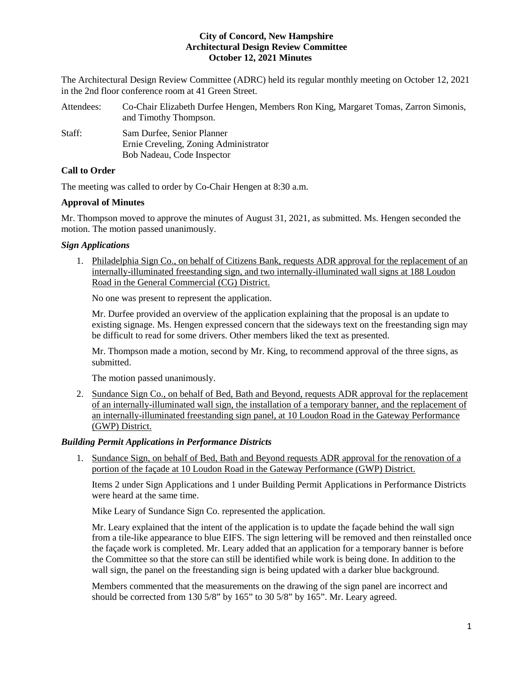## **City of Concord, New Hampshire Architectural Design Review Committee October 12, 2021 Minutes**

The Architectural Design Review Committee (ADRC) held its regular monthly meeting on October 12, 2021 in the 2nd floor conference room at 41 Green Street.

| Attendees: | Co-Chair Elizabeth Durfee Hengen, Members Ron King, Margaret Tomas, Zarron Simonis,<br>and Timothy Thompson. |
|------------|--------------------------------------------------------------------------------------------------------------|
| Staff:     | Sam Durfee, Senior Planner<br>Ernie Creveling, Zoning Administrator                                          |
|            | Bob Nadeau, Code Inspector                                                                                   |

# **Call to Order**

The meeting was called to order by Co-Chair Hengen at 8:30 a.m.

## **Approval of Minutes**

Mr. Thompson moved to approve the minutes of August 31, 2021, as submitted. Ms. Hengen seconded the motion. The motion passed unanimously.

## *Sign Applications*

1. Philadelphia Sign Co., on behalf of Citizens Bank, requests ADR approval for the replacement of an internally-illuminated freestanding sign, and two internally-illuminated wall signs at 188 Loudon Road in the General Commercial (CG) District.

No one was present to represent the application.

Mr. Durfee provided an overview of the application explaining that the proposal is an update to existing signage. Ms. Hengen expressed concern that the sideways text on the freestanding sign may be difficult to read for some drivers. Other members liked the text as presented.

Mr. Thompson made a motion, second by Mr. King, to recommend approval of the three signs, as submitted.

The motion passed unanimously.

2. Sundance Sign Co., on behalf of Bed, Bath and Beyond, requests ADR approval for the replacement of an internally-illuminated wall sign, the installation of a temporary banner, and the replacement of an internally-illuminated freestanding sign panel, at 10 Loudon Road in the Gateway Performance (GWP) District.

## *Building Permit Applications in Performance Districts*

1. Sundance Sign, on behalf of Bed, Bath and Beyond requests ADR approval for the renovation of a portion of the façade at 10 Loudon Road in the Gateway Performance (GWP) District.

Items 2 under Sign Applications and 1 under Building Permit Applications in Performance Districts were heard at the same time.

Mike Leary of Sundance Sign Co. represented the application.

Mr. Leary explained that the intent of the application is to update the façade behind the wall sign from a tile-like appearance to blue EIFS. The sign lettering will be removed and then reinstalled once the façade work is completed. Mr. Leary added that an application for a temporary banner is before the Committee so that the store can still be identified while work is being done. In addition to the wall sign, the panel on the freestanding sign is being updated with a darker blue background.

Members commented that the measurements on the drawing of the sign panel are incorrect and should be corrected from 130 5/8" by 165" to 30 5/8" by 165". Mr. Leary agreed.